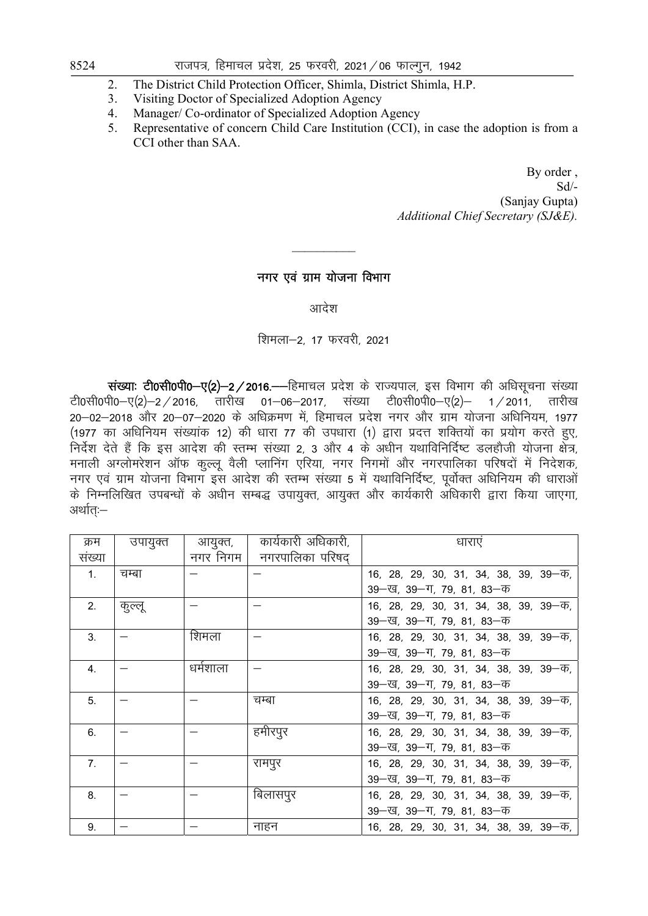# 8524 jkti=] fgekpy izns'k] 25 Qjojh] 2021@06 QkYxqu] 1942

- 2. The District Child Protection Officer, Shimla, District Shimla, H.P.
- 3. Visiting Doctor of Specialized Adoption Agency
- 4. Manager/ Co-ordinator of Specialized Adoption Agency
- 5. Representative of concern Child Care Institution (CCI), in case the adoption is from a CCI other than SAA.

By order , Sd/- (Sanjay Gupta) *Additional Chief Secretary (SJ&E).*

# नगर एवं ग्राम योजना विभाग

 $\frac{1}{2}$ 

आदेश

शिमला-2, 17 फरवरी, 2021

 $\vec{k}$ संख्याः टी0सी0पी0—ए(2)—2 / 2016.——हिमाचल प्रदेश के राज्यपाल, इस विभाग की अधिसूचना संख्या टी0सी0पी0–ए(2)–2/2016, तारीख 01–06–2017, संख्या टी0सी0पी0–ए(2)– 1/2011, तारीख 20-02-2018 और 20-07-2020 के अधिक्रमण में, हिमाचल प्रदेश नगर और ग्राम योजना अधिनियम, 1977 (1977 का अधिनियम संख्यांक 12) की धारा 77 की उपधारा (1) द्वारा प्रदत्त शक्तियों का प्रयोग करते हुए, .<br>निर्देश देते हैं कि इस आदेश की स्तम्भ संख्या 2, 3 और 4 के अधीन यथाविनिर्दिष्ट डलहौजी योजना क्षेत्र, मनाली अग्लोमरेशन ऑफ कुल्लू वैली प्लानिंग एरिया, नगर निगमों और नगरपालिका परिषदों में निदेशक, नगर एवं ग्राम योजना विभाग इस आदेश की स्तम्भ संख्या 5 में यथाविनिर्दिष्ट, पूर्वोक्त अधिनियम की धाराओं के निम्नलिखित उपबन्धों के अधीन सम्बद्ध उपायुक्त, आयुक्त और कार्यकारी अधिकारी द्वारा किया जाएगा, अर्थात:—

| क्रम           | उपायुक्त | आयुक्त,  | कार्यकारी अधिकारी, | धाराएं                                  |
|----------------|----------|----------|--------------------|-----------------------------------------|
| संख्या         |          | नगर निगम | नगरपालिका परिषद    |                                         |
| $\mathbf{1}$ . | चम्बा    |          |                    | 16, 28, 29, 30, 31, 34, 38, 39, 39—क,   |
|                |          |          |                    | 39 - ख, 39 - ग, 79, 81, 83 - क          |
| 2.             | कुल्लू   |          |                    | 16, 28, 29, 30, 31, 34, 38, 39, 39—क,   |
|                |          |          |                    | 39 - ख, 39 - ग, 79, 81, 83 - क          |
| 3.             |          | शिमला    |                    | 16, 28, 29, 30, 31, 34, 38, 39, 39—क,   |
|                |          |          |                    | 39 - ख, 39 - ग, 79, 81, 83 - क          |
| $\mathbf{4}$ . |          | धर्मशाला |                    | 16, 28, 29, 30, 31, 34, 38, 39, 39 - 4, |
|                |          |          |                    | 39 - ख, 39 - ग, 79, 81, 83 - क          |
| 5 <sub>1</sub> |          |          | चम्बा              | 16, 28, 29, 30, 31, 34, 38, 39, 39—क,   |
|                |          |          |                    | 39 - ख, 39 - ग, 79, 81, 83 - क          |
| 6.             |          |          | हमीरपुर            | 16, 28, 29, 30, 31, 34, 38, 39, 39—क,   |
|                |          |          |                    | 39 - ख, 39 - ग, 79, 81, 83 - क          |
| 7.             |          |          | रामपुर             | 16, 28, 29, 30, 31, 34, 38, 39, 39 - 4, |
|                |          |          |                    | 39 - ख, 39 - ग, 79, 81, 83 - क          |
| 8.             |          |          | बिलासपुर           | 16, 28, 29, 30, 31, 34, 38, 39, 39 - 4, |
|                |          |          |                    | 39 - ख, 39 - ग, 79, 81, 83 - क          |
| 9.             |          |          | नाहन               | 16, 28, 29, 30, 31, 34, 38, 39, 39—क,   |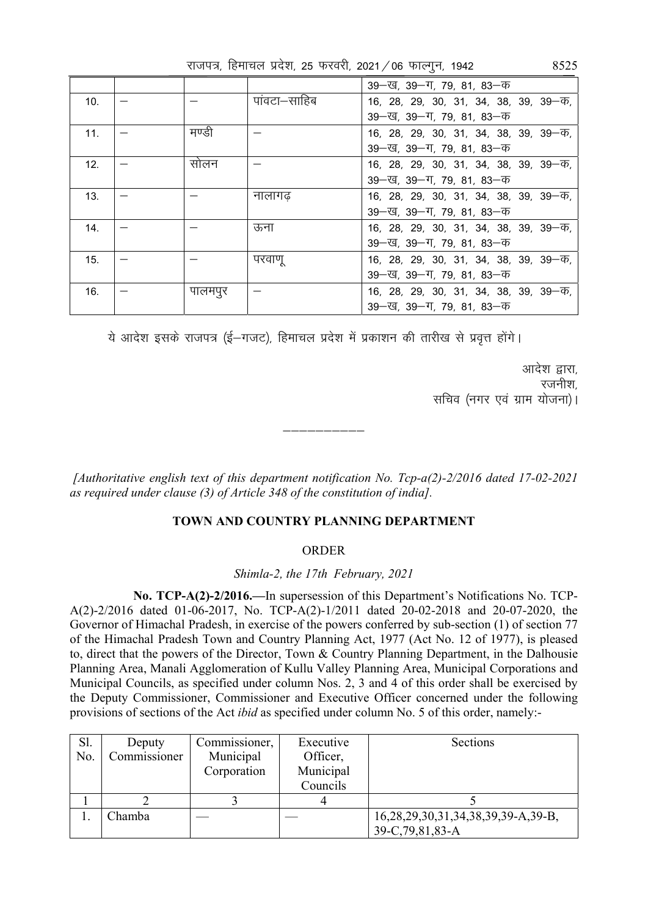|  | राजपत्र, हिमाचल प्रदेश, 25 फरवरी, 2021 / 06 फाल्गुन, 1942 |  |  |  |  |  | 8525 |
|--|-----------------------------------------------------------|--|--|--|--|--|------|
|--|-----------------------------------------------------------|--|--|--|--|--|------|

|     |         |             | 39—ख, 39—ग, 79, 81, 83—क                  |
|-----|---------|-------------|-------------------------------------------|
| 10. |         | पावटा–साहिब | 16, 28, 29, 30, 31, 34, 38, 39, 39 - 4,   |
|     |         |             | 39—ख, 39—ग, 79, 81, 83—क                  |
| 11. | मण्डी   |             | 16, 28, 29, 30, 31, 34, 38, 39, 39 -- 45, |
|     |         |             | 39—ख, 39—ग, 79, 81, 83—क                  |
| 12. | सोलन    |             | 16, 28, 29, 30, 31, 34, 38, 39, 39 - 4,   |
|     |         |             | 39—ख, 39—ग, 79, 81, 83—क                  |
| 13. |         | नालागढ      | 16, 28, 29, 30, 31, 34, 38, 39, 39—क,     |
|     |         |             | 39–ख, 39–ग, 79, 81, 83–क                  |
| 14. |         | ऊना         | 16, 28, 29, 30, 31, 34, 38, 39, 39—क,     |
|     |         |             | 39—ख, 39—ग, 79, 81, 83—क                  |
| 15. |         | परवाणू      | 16, 28, 29, 30, 31, 34, 38, 39, 39—क,     |
|     |         |             | 39—ख, 39—ग, 79, 81, 83—क                  |
| 16. | पालमपुर |             | 16, 28, 29, 30, 31, 34, 38, 39, 39—क,     |
|     |         |             | 39—ख, 39—ग, 79, 81, 83—क                  |

ये आदेश इसके राजपत्र (ई–गजट), हिमाचल प्रदेश में प्रकाशन की तारीख से प्रवृत्त होंगे।

आदेश द्वारा. रजनीश, सचिव (नगर एवं ग्राम योजना)।

 *[Authoritative english text of this department notification No. Tcp-a(2)-2/2016 dated 17-02-2021 as required under clause (3) of Article 348 of the constitution of india].* 

—————————

### **TOWN AND COUNTRY PLANNING DEPARTMENT**

#### ORDER

*Shimla-2, the 17th February, 2021* 

 **No. TCP-A(2)-2/2016.—**In supersession of this Department's Notifications No. TCP-A(2)-2/2016 dated 01-06-2017, No. TCP-A(2)-1/2011 dated 20-02-2018 and 20-07-2020, the Governor of Himachal Pradesh, in exercise of the powers conferred by sub-section (1) of section 77 of the Himachal Pradesh Town and Country Planning Act, 1977 (Act No. 12 of 1977), is pleased to, direct that the powers of the Director, Town & Country Planning Department, in the Dalhousie Planning Area, Manali Agglomeration of Kullu Valley Planning Area, Municipal Corporations and Municipal Councils, as specified under column Nos. 2, 3 and 4 of this order shall be exercised by the Deputy Commissioner, Commissioner and Executive Officer concerned under the following provisions of sections of the Act *ibid* as specified under column No. 5 of this order, namely:-

| Sl. | Deputy       | Commissioner, | Executive | Sections                           |
|-----|--------------|---------------|-----------|------------------------------------|
| No. | Commissioner | Municipal     | Officer,  |                                    |
|     |              | Corporation   | Municipal |                                    |
|     |              |               | Councils  |                                    |
|     |              |               |           |                                    |
|     | Chamba       |               |           | 16,28,29,30,31,34,38,39,39-A,39-B, |
|     |              |               |           | 39-C, 79, 81, 83-A                 |